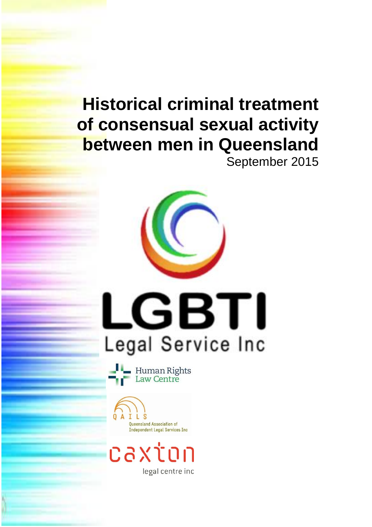# **Historical criminal treatment of consensual sexual activity between men in Queensland** September 2015

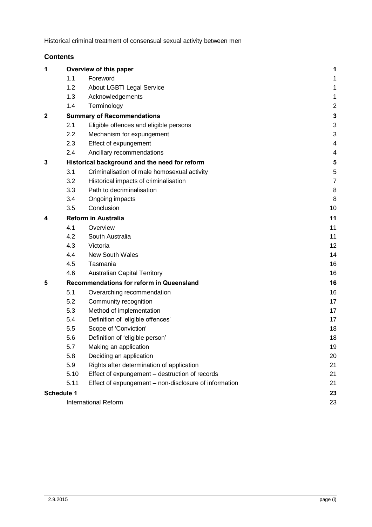## **Contents**

| 1 | Overview of this paper                        |                                                       | 1              |
|---|-----------------------------------------------|-------------------------------------------------------|----------------|
|   | 1.1                                           | Foreword                                              | 1              |
|   | 1.2                                           | About LGBTI Legal Service                             | 1              |
|   | 1.3                                           | Acknowledgements                                      | 1              |
|   | 1.4                                           | Terminology                                           | $\overline{c}$ |
| 2 | <b>Summary of Recommendations</b>             | 3                                                     |                |
|   | 2.1                                           | Eligible offences and eligible persons                |                |
|   | 2.2                                           | Mechanism for expungement                             | 3              |
|   | 2.3                                           | Effect of expungement                                 | 4              |
|   | 2.4                                           | Ancillary recommendations                             | 4              |
| 3 | Historical background and the need for reform | 5                                                     |                |
|   | 3.1                                           | Criminalisation of male homosexual activity           | 5              |
|   | 3.2                                           | Historical impacts of criminalisation                 | $\overline{7}$ |
|   | 3.3                                           | Path to decriminalisation                             | 8              |
|   | 3.4                                           | Ongoing impacts                                       | 8              |
|   | 3.5                                           | Conclusion                                            | 10             |
| 4 | <b>Reform in Australia</b>                    | 11                                                    |                |
|   | 4.1                                           | Overview                                              | 11             |
|   | 4.2                                           | South Australia                                       | 11             |
|   | 4.3                                           | Victoria                                              | 12             |
|   | 4.4                                           | <b>New South Wales</b>                                | 14             |
|   | 4.5                                           | Tasmania                                              | 16             |
|   | 4.6                                           | <b>Australian Capital Territory</b>                   | 16             |
| 5 | Recommendations for reform in Queensland      | 16                                                    |                |
|   | 5.1                                           | Overarching recommendation                            | 16             |
|   | 5.2                                           | Community recognition                                 | 17             |
|   | 5.3                                           | Method of implementation                              | 17             |
|   | 5.4                                           | Definition of 'eligible offences'                     | 17             |
|   | 5.5                                           | Scope of 'Conviction'                                 | 18             |
|   | 5.6                                           | Definition of 'eligible person'                       | 18             |
|   | 5.7                                           | Making an application                                 | 19             |
|   | 5.8                                           | Deciding an application                               | 20             |
|   | 5.9                                           | Rights after determination of application             | 21             |
|   | 5.10                                          | Effect of expungement - destruction of records        | 21             |
|   | 5.11                                          | Effect of expungement - non-disclosure of information | 21             |
|   | Schedule 1                                    |                                                       | 23             |
|   | International Reform                          | 23                                                    |                |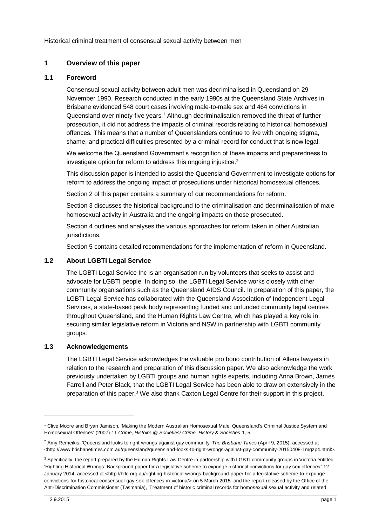## <span id="page-2-0"></span>**1 Overview of this paper**

## <span id="page-2-1"></span>**1.1 Foreword**

Consensual sexual activity between adult men was decriminalised in Queensland on 29 November 1990. Research conducted in the early 1990s at the Queensland State Archives in Brisbane evidenced 548 court cases involving male-to-male sex and 464 convictions in Queensland over ninety-five years.<sup>1</sup> Although decriminalisation removed the threat of further prosecution, it did not address the impacts of criminal records relating to historical homosexual offences. This means that a number of Queenslanders continue to live with ongoing stigma, shame, and practical difficulties presented by a criminal record for conduct that is now legal.

We welcome the Queensland Government's recognition of these impacts and preparedness to investigate option for reform to address this ongoing injustice.<sup>2</sup>

This discussion paper is intended to assist the Queensland Government to investigate options for reform to address the ongoing impact of prosecutions under historical homosexual offences.

Section [2](#page-4-0) of this paper contains a summary of our recommendations for reform.

Sectio[n 3](#page-6-0) discusses the historical background to the criminalisation and decriminalisation of male homosexual activity in Australia and the ongoing impacts on those prosecuted.

Sectio[n 4](#page-12-0) outlines and analyses the various approaches for reform taken in other Australian jurisdictions.

Sectio[n 5](#page-17-2) contains detailed recommendations for the implementation of reform in Queensland.

## <span id="page-2-2"></span>**1.2 About LGBTI Legal Service**

The LGBTI Legal Service Inc is an organisation run by volunteers that seeks to assist and advocate for LGBTI people. In doing so, the LGBTI Legal Service works closely with other community organisations such as the Queensland AIDS Council. In preparation of this paper, the LGBTI Legal Service has collaborated with the Queensland Association of Independent Legal Services, a state-based peak body representing funded and unfunded community legal centres throughout Queensland, and the Human Rights Law Centre, which has played a key role in securing similar legislative reform in Victoria and NSW in partnership with LGBTI community groups.

#### <span id="page-2-3"></span>**1.3 Acknowledgements**

The LGBTI Legal Service acknowledges the valuable pro bono contribution of Allens lawyers in relation to the research and preparation of this discussion paper. We also acknowledge the work previously undertaken by LGBTI groups and human rights experts, including Anna Brown, James Farrell and Peter Black, that the LGBTI Legal Service has been able to draw on extensively in the preparation of this paper.<sup>3</sup> We also thank Caxton Legal Centre for their support in this project.

 $\overline{a}$ 

<sup>1</sup> Clive Moore and Bryan Jamison, 'Making the Modern Australian Homosexual Male: Queensland's Criminal Justice System and Homosexual Offences' (2007) 11 *Crime, Histoire @ Societies/ Crime, History & Societies* 1, 5.

<sup>2</sup> Amy Remeikis, 'Queensland looks to right wrongs against gay community' *The Brisbane Times* (April 9, 2015), accessed at *<*http://www.brisbanetimes.com.au/queensland/queensland-looks-to-right-wrongs-against-gay-community-20150408-1mgzp4.html>.

<sup>&</sup>lt;sup>3</sup> Specifically, the report prepared by the Human Rights Law Centre in partnership with LGBTI community groups in Victoria entitled 'Righting Historical Wrongs: Background paper for a legislative scheme to expunge historical convictions for gay sex offences' 12 January 2014, accessed at <http://hrlc.org.au/righting-historical-wrongs-background-paper-for-a-legislative-scheme-to-expungeconvictions-for-historical-consensual-gay-sex-offences-in-victoria/> on 5 March 2015 and the report released by the Office of the Anti-Discrimination Commissioner (Tasmania), 'Treatment of historic criminal records for homosexual sexual activity and related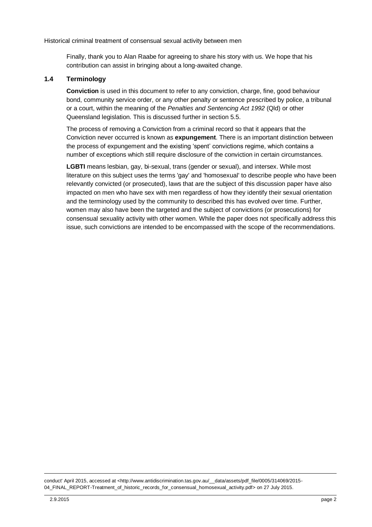Finally, thank you to Alan Raabe for agreeing to share his story with us. We hope that his contribution can assist in bringing about a long-awaited change.

## <span id="page-3-0"></span>**1.4 Terminology**

**Conviction** is used in this document to refer to any conviction, charge, fine, good behaviour bond, community service order, or any other penalty or sentence prescribed by police, a tribunal or a court, within the meaning of the *Penalties and Sentencing Act 1992* (Qld) or other Queensland legislation. This is discussed further in sectio[n 5.5.](#page-19-0)

The process of removing a Conviction from a criminal record so that it appears that the Conviction never occurred is known as **expungement**. There is an important distinction between the process of expungement and the existing 'spent' convictions regime, which contains a number of exceptions which still require disclosure of the conviction in certain circumstances.

**LGBTI** means lesbian, gay, bi-sexual, trans (gender or sexual), and intersex. While most literature on this subject uses the terms 'gay' and 'homosexual' to describe people who have been relevantly convicted (or prosecuted), laws that are the subject of this discussion paper have also impacted on men who have sex with men regardless of how they identify their sexual orientation and the terminology used by the community to described this has evolved over time. Further, women may also have been the targeted and the subject of convictions (or prosecutions) for consensual sexuality activity with other women. While the paper does not specifically address this issue, such convictions are intended to be encompassed with the scope of the recommendations.

conduct' April 2015, accessed at <http://www.antidiscrimination.tas.gov.au/\_\_data/assets/pdf\_file/0005/314069/2015-04\_FINAL\_REPORT-Treatment\_of\_historic\_records\_for\_consensual\_homosexual\_activity.pdf> on 27 July 2015.

1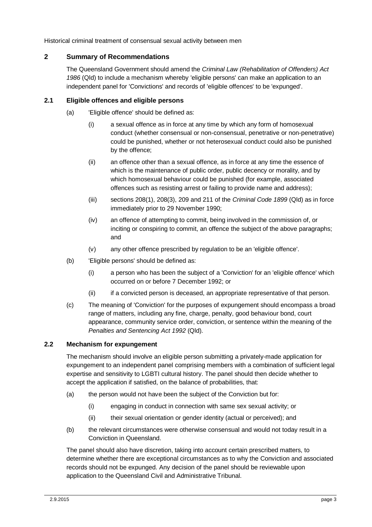## <span id="page-4-0"></span>**2 Summary of Recommendations**

The Queensland Government should amend the *Criminal Law (Rehabilitation of Offenders) Act 1986* (Qld) to include a mechanism whereby 'eligible persons' can make an application to an independent panel for 'Convictions' and records of 'eligible offences' to be 'expunged'.

## <span id="page-4-1"></span>**2.1 Eligible offences and eligible persons**

- (a) 'Eligible offence' should be defined as:
	- (i) a sexual offence as in force at any time by which any form of homosexual conduct (whether consensual or non-consensual, penetrative or non-penetrative) could be punished, whether or not heterosexual conduct could also be punished by the offence;
	- (ii) an offence other than a sexual offence, as in force at any time the essence of which is the maintenance of public order, public decency or morality, and by which homosexual behaviour could be punished (for example, associated offences such as resisting arrest or failing to provide name and address);
	- (iii) sections 208(1), 208(3), 209 and 211 of the *Criminal Code 1899* (Qld) as in force immediately prior to 29 November 1990;
	- (iv) an offence of attempting to commit, being involved in the commission of, or inciting or conspiring to commit, an offence the subject of the above paragraphs; and
	- (v) any other offence prescribed by regulation to be an 'eligible offence'.
- (b) 'Eligible persons' should be defined as:
	- (i) a person who has been the subject of a 'Conviction' for an 'eligible offence' which occurred on or before 7 December 1992; or
	- (ii) if a convicted person is deceased, an appropriate representative of that person.
- (c) The meaning of 'Conviction' for the purposes of expungement should encompass a broad range of matters, including any fine, charge, penalty, good behaviour bond, court appearance, community service order, conviction, or sentence within the meaning of the *Penalties and Sentencing Act 1992* (Qld).

## <span id="page-4-2"></span>**2.2 Mechanism for expungement**

The mechanism should involve an eligible person submitting a privately-made application for expungement to an independent panel comprising members with a combination of sufficient legal expertise and sensitivity to LGBTI cultural history. The panel should then decide whether to accept the application if satisfied, on the balance of probabilities, that:

- (a) the person would not have been the subject of the Conviction but for:
	- (i) engaging in conduct in connection with same sex sexual activity; or
	- (ii) their sexual orientation or gender identity (actual or perceived); and
- (b) the relevant circumstances were otherwise consensual and would not today result in a Conviction in Queensland.

The panel should also have discretion, taking into account certain prescribed matters, to determine whether there are exceptional circumstances as to why the Conviction and associated records should not be expunged. Any decision of the panel should be reviewable upon application to the Queensland Civil and Administrative Tribunal.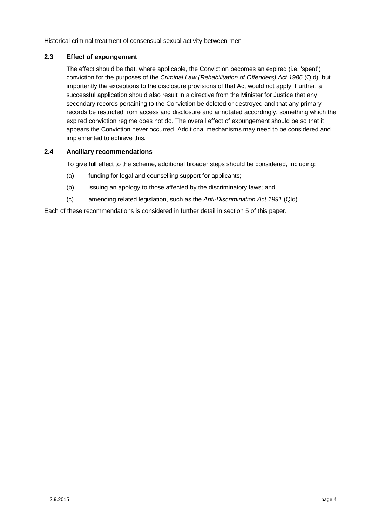## <span id="page-5-0"></span>**2.3 Effect of expungement**

The effect should be that, where applicable, the Conviction becomes an expired (i.e. 'spent') conviction for the purposes of the *Criminal Law (Rehabilitation of Offenders) Act 1986* (Qld), but importantly the exceptions to the disclosure provisions of that Act would not apply. Further, a successful application should also result in a directive from the Minister for Justice that any secondary records pertaining to the Conviction be deleted or destroyed and that any primary records be restricted from access and disclosure and annotated accordingly, something which the expired conviction regime does not do. The overall effect of expungement should be so that it appears the Conviction never occurred. Additional mechanisms may need to be considered and implemented to achieve this.

## <span id="page-5-1"></span>**2.4 Ancillary recommendations**

To give full effect to the scheme, additional broader steps should be considered, including:

- (a) funding for legal and counselling support for applicants;
- (b) issuing an apology to those affected by the discriminatory laws; and
- (c) amending related legislation, such as the *Anti-Discrimination Act 1991* (Qld).

Each of these recommendations is considered in further detail in sectio[n 5](#page-17-2) of this paper.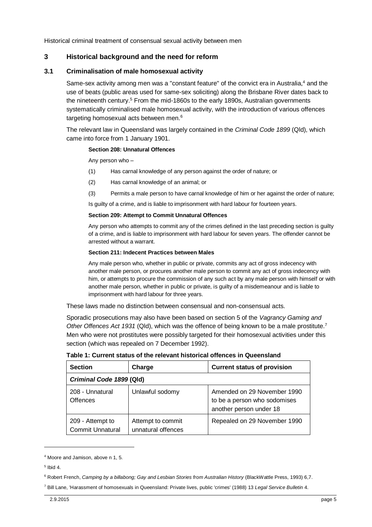## <span id="page-6-0"></span>**3 Historical background and the need for reform**

#### <span id="page-6-1"></span>**3.1 Criminalisation of male homosexual activity**

Same-sex activity among men was a "constant feature" of the convict era in Australia,<sup>4</sup> and the use of beats (public areas used for same-sex soliciting) along the Brisbane River dates back to the nineteenth century.<sup>5</sup> From the mid-1860s to the early 1890s, Australian governments systematically criminalised male homosexual activity, with the introduction of various offences targeting homosexual acts between men.<sup>6</sup>

The relevant law in Queensland was largely contained in the *Criminal Code 1899* (Qld), which came into force from 1 January 1901.

#### **Section 208: Unnatural Offences**

Any person who –

- (1) Has carnal knowledge of any person against the order of nature; or
- (2) Has carnal knowledge of an animal; or
- (3) Permits a male person to have carnal knowledge of him or her against the order of nature;

Is guilty of a crime, and is liable to imprisonment with hard labour for fourteen years.

#### **Section 209: Attempt to Commit Unnatural Offences**

Any person who attempts to commit any of the crimes defined in the last preceding section is guilty of a crime, and is liable to imprisonment with hard labour for seven years. The offender cannot be arrested without a warrant.

#### **Section 211: Indecent Practices between Males**

Any male person who, whether in public or private, commits any act of gross indecency with another male person, or procures another male person to commit any act of gross indecency with him, or attempts to procure the commission of any such act by any male person with himself or with another male person, whether in public or private, is guilty of a misdemeanour and is liable to imprisonment with hard labour for three years.

These laws made no distinction between consensual and non-consensual acts.

Sporadic prosecutions may also have been based on section 5 of the *Vagrancy Gaming and Other Offences Act 1931* (Qld), which was the offence of being known to be a male prostitute.<sup>7</sup> Men who were not prostitutes were possibly targeted for their homosexual activities under this section (which was repealed on 7 December 1992).

| <b>Section</b>                              | Charge                                  | <b>Current status of provision</b>                                                     |  |  |  |  |
|---------------------------------------------|-----------------------------------------|----------------------------------------------------------------------------------------|--|--|--|--|
| Criminal Code 1899 (Qld)                    |                                         |                                                                                        |  |  |  |  |
| 208 - Unnatural<br><b>Offences</b>          | Unlawful sodomy                         | Amended on 29 November 1990<br>to be a person who sodomises<br>another person under 18 |  |  |  |  |
| 209 - Attempt to<br><b>Commit Unnatural</b> | Attempt to commit<br>unnatural offences | Repealed on 29 November 1990                                                           |  |  |  |  |

**Table 1: Current status of the relevant historical offences in Queensland**

<sup>4</sup> Moore and Jamison, above n 1, 5.

<sup>5</sup> Ibid 4.

<sup>6</sup> Robert French, *Camping by a billabong; Gay and Lesbian Stories from Australian History* (BlackWattle Press, 1993) 6,7.

<sup>7</sup> Bill Lane, 'Harassment of homosexuals in Queensland: Private lives, public 'crimes' (1988) 13 *Legal Service Bulletin* 4.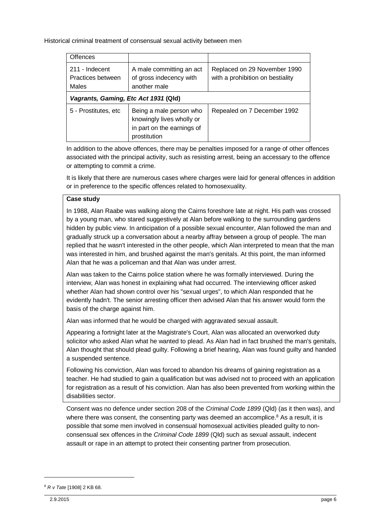| <b>Offences</b>                              |                                                                                                    |                                                                  |  |  |  |  |
|----------------------------------------------|----------------------------------------------------------------------------------------------------|------------------------------------------------------------------|--|--|--|--|
| 211 - Indecent<br>Practices between<br>Males | A male committing an act<br>of gross indecency with<br>another male                                | Replaced on 29 November 1990<br>with a prohibition on bestiality |  |  |  |  |
| Vagrants, Gaming, Etc Act 1931 (Qld)         |                                                                                                    |                                                                  |  |  |  |  |
| 5 - Prostitutes, etc                         | Being a male person who<br>knowingly lives wholly or<br>in part on the earnings of<br>prostitution | Repealed on 7 December 1992                                      |  |  |  |  |

In addition to the above offences, there may be penalties imposed for a range of other offences associated with the principal activity, such as resisting arrest, being an accessary to the offence or attempting to commit a crime.

It is likely that there are numerous cases where charges were laid for general offences in addition or in preference to the specific offences related to homosexuality.

## **Case study**

In 1988, Alan Raabe was walking along the Cairns foreshore late at night. His path was crossed by a young man, who stared suggestively at Alan before walking to the surrounding gardens hidden by public view. In anticipation of a possible sexual encounter, Alan followed the man and gradually struck up a conversation about a nearby affray between a group of people. The man replied that he wasn't interested in the other people, which Alan interpreted to mean that the man was interested in him, and brushed against the man's genitals. At this point, the man informed Alan that he was a policeman and that Alan was under arrest.

Alan was taken to the Cairns police station where he was formally interviewed. During the interview, Alan was honest in explaining what had occurred. The interviewing officer asked whether Alan had shown control over his "sexual urges", to which Alan responded that he evidently hadn't. The senior arresting officer then advised Alan that his answer would form the basis of the charge against him.

Alan was informed that he would be charged with aggravated sexual assault.

Appearing a fortnight later at the Magistrate's Court, Alan was allocated an overworked duty solicitor who asked Alan what he wanted to plead. As Alan had in fact brushed the man's genitals, Alan thought that should plead guilty. Following a brief hearing, Alan was found guilty and handed a suspended sentence.

Following his conviction, Alan was forced to abandon his dreams of gaining registration as a teacher. He had studied to gain a qualification but was advised not to proceed with an application for registration as a result of his conviction. Alan has also been prevented from working within the disabilities sector.

Consent was no defence under section 208 of the *Criminal Code 1899* (Qld) (as it then was), and where there was consent, the consenting party was deemed an accomplice.<sup>8</sup> As a result, it is possible that some men involved in consensual homosexual activities pleaded guilty to nonconsensual sex offences in the *Criminal Code 1899* (Qld) such as sexual assault, indecent assault or rape in an attempt to protect their consenting partner from prosecution.

<sup>8</sup> *R v Tate* [1908] 2 KB 68.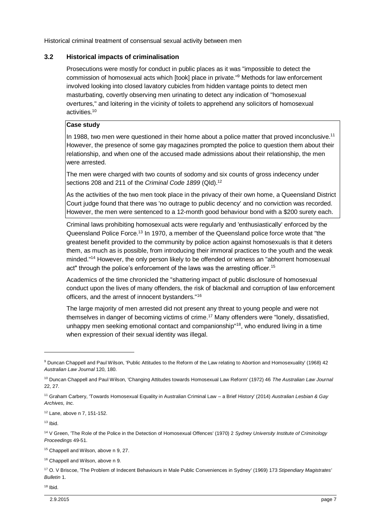## <span id="page-8-0"></span>**3.2 Historical impacts of criminalisation**

Prosecutions were mostly for conduct in public places as it was "impossible to detect the commission of homosexual acts which [took] place in private."<sup>9</sup> Methods for law enforcement involved looking into closed lavatory cubicles from hidden vantage points to detect men masturbating, covertly observing men urinating to detect any indication of "homosexual overtures," and loitering in the vicinity of toilets to apprehend any solicitors of homosexual activities.<sup>10</sup>

#### **Case study**

In 1988, two men were questioned in their home about a police matter that proved inconclusive.<sup>11</sup> However, the presence of some gay magazines prompted the police to question them about their relationship, and when one of the accused made admissions about their relationship, the men were arrested.

The men were charged with two counts of sodomy and six counts of gross indecency under sections 208 and 211 of the *Criminal Code 1899* (Qld).<sup>12</sup>

As the activities of the two men took place in the privacy of their own home, a Queensland District Court judge found that there was 'no outrage to public decency' and no conviction was recorded. However, the men were sentenced to a 12-month good behaviour bond with a \$200 surety each.

Criminal laws prohibiting homosexual acts were regularly and 'enthusiastically' enforced by the Queensland Police Force.<sup>13</sup> In 1970, a member of the Queensland police force wrote that "the greatest benefit provided to the community by police action against homosexuals is that it deters them, as much as is possible, from introducing their immoral practices to the youth and the weak minded."<sup>14</sup> However, the only person likely to be offended or witness an "abhorrent homosexual act" through the police's enforcement of the laws was the arresting officer.<sup>15</sup>

Academics of the time chronicled the "shattering impact of public disclosure of homosexual conduct upon the lives of many offenders, the risk of blackmail and corruption of law enforcement officers, and the arrest of innocent bystanders."<sup>16</sup>

The large majority of men arrested did not present any threat to young people and were not themselves in danger of becoming victims of crime.<sup>17</sup> Many offenders were "lonely, dissatisfied, unhappy men seeking emotional contact and companionship"<sup>18</sup>, who endured living in a time when expression of their sexual identity was illegal.

<sup>12</sup> Lane, above n 7, 151-152.

 $13$  Ibid.

l

<sup>18</sup> Ibid.

<sup>&</sup>lt;sup>9</sup> Duncan Chappell and Paul Wilson, 'Public Attitudes to the Reform of the Law relating to Abortion and Homosexuality' (1968) 42 *Australian Law Journal* 120, 180.

<sup>10</sup> Duncan Chappell and Paul Wilson, 'Changing Attitudes towards Homosexual Law Reform' (1972) 46 *The Australian Law Journal*  22, 27.

<sup>11</sup> Graham Carbery, 'Towards Homosexual Equality in Australian Criminal Law – a Brief History' (2014) *Australian Lesbian & Gay Archives, Inc.*

<sup>14</sup> V Green, 'The Role of the Police in the Detection of Homosexual Offences' (1970) 2 *Sydney University Institute of Criminology Proceedings* 49-51.

<sup>&</sup>lt;sup>15</sup> Chappell and Wilson, above n 9, 27.

<sup>&</sup>lt;sup>16</sup> Chappell and Wilson, above n 9.

<sup>17</sup> O. V Briscoe, 'The Problem of Indecent Behaviours in Male Public Conveniences in Sydney' (1969) 173 *Stipendiary Magistrates' Bulletin* 1.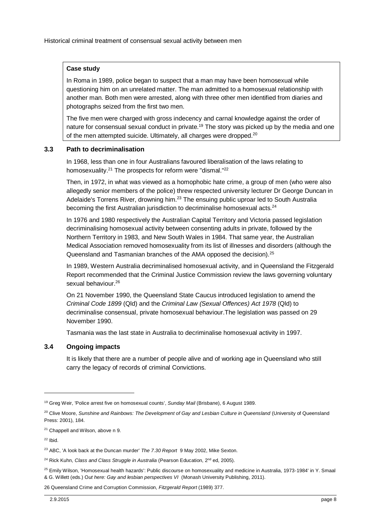## **Case study**

In Roma in 1989, police began to suspect that a man may have been homosexual while questioning him on an unrelated matter. The man admitted to a homosexual relationship with another man. Both men were arrested, along with three other men identified from diaries and photographs seized from the first two men.

The five men were charged with gross indecency and carnal knowledge against the order of nature for consensual sexual conduct in private.<sup>19</sup> The story was picked up by the media and one of the men attempted suicide. Ultimately, all charges were dropped.<sup>20</sup>

## <span id="page-9-0"></span>**3.3 Path to decriminalisation**

In 1968, less than one in four Australians favoured liberalisation of the laws relating to homosexuality.<sup>21</sup> The prospects for reform were "dismal."<sup>22</sup>

Then, in 1972, in what was viewed as a homophobic hate crime, a group of men (who were also allegedly senior members of the police) threw respected university lecturer Dr George Duncan in Adelaide's Torrens River, drowning him.<sup>23</sup> The ensuing public uproar led to South Australia becoming the first Australian jurisdiction to decriminalise homosexual acts.<sup>24</sup>

In 1976 and 1980 respectively the Australian Capital Territory and Victoria passed legislation decriminalising homosexual activity between consenting adults in private, followed by the Northern Territory in 1983, and New South Wales in 1984. That same year, the Australian Medical Association removed homosexuality from its list of illnesses and disorders (although the Queensland and Tasmanian branches of the AMA opposed the decision).<sup>25</sup>

In 1989, Western Australia decriminalised homosexual activity, and in Queensland the Fitzgerald Report recommended that the Criminal Justice Commission review the laws governing voluntary sexual behaviour.<sup>26</sup>

On 21 November 1990, the Queensland State Caucus introduced legislation to amend the *Criminal Code 1899* (Qld) and the *Criminal Law (Sexual Offences) Act 1978* (Qld) to decriminalise consensual, private homosexual behaviour.The legislation was passed on 29 November 1990.

Tasmania was the last state in Australia to decriminalise homosexual activity in 1997.

#### <span id="page-9-1"></span>**3.4 Ongoing impacts**

It is likely that there are a number of people alive and of working age in Queensland who still carry the legacy of records of criminal Convictions.

 $\overline{a}$ 

26 Queensland Crime and Corruption Commission, *Fitzgerald Report* (1989) 377.

<sup>19</sup> Greg Weir, 'Police arrest five on homosexual counts', *Sunday Mail* (Brisbane), 6 August 1989.

<sup>&</sup>lt;sup>20</sup> Clive Moore, *Sunshine and Rainbows: The Development of Gay and Lesbian Culture in Queensland (University of Queensland* Press: 2001), 184.

<sup>21</sup> Chappell and Wilson, above n 9.

 $22$  Ibid.

<sup>23</sup> ABC, ['A look back at the Duncan murder'](http://www.abc.net.au/7.30/content/2002/s552142.htm) *[The 7.30 Report](http://en.wikipedia.org/wiki/The_7.30_Report)* 9 May 2002, Mike Sexton.

<sup>&</sup>lt;sup>24</sup> Rick Kuhn, *Class and Class Struggle in Australia* (Pearson Education, 2<sup>nd</sup> ed, 2005).

<sup>&</sup>lt;sup>25</sup> Emily Wilson, 'Homosexual health hazards': Public discourse on homosexuality and medicine in Australia, 1973-1984' in Y. Smaal & G. Willett (eds.) O*ut here: Gay and lesbian perspectives VI* (Monash University Publishing, 2011).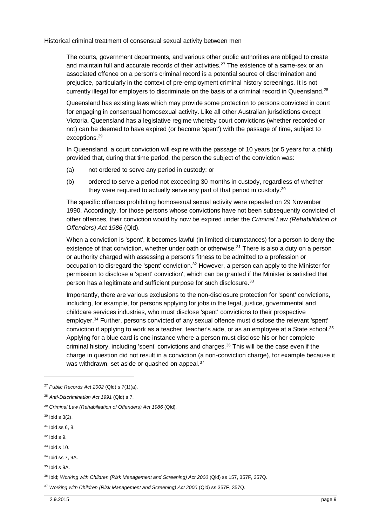The courts, government departments, and various other public authorities are obliged to create and maintain full and accurate records of their activities.<sup>27</sup> The existence of a same-sex or an associated offence on a person's criminal record is a potential source of discrimination and prejudice, particularly in the context of pre-employment criminal history screenings. It is not currently illegal for employers to discriminate on the basis of a criminal record in Queensland.<sup>28</sup>

Queensland has existing laws which may provide some protection to persons convicted in court for engaging in consensual homosexual activity. Like all other Australian jurisdictions except Victoria, Queensland has a legislative regime whereby court convictions (whether recorded or not) can be deemed to have expired (or become 'spent') with the passage of time, subject to exceptions. 29

In Queensland, a court conviction will expire with the passage of 10 years (or 5 years for a child) provided that, during that time period, the person the subject of the conviction was:

- (a) not ordered to serve any period in custody; or
- (b) ordered to serve a period not exceeding 30 months in custody, regardless of whether they were required to actually serve any part of that period in custody.<sup>30</sup>

The specific offences prohibiting homosexual sexual activity were repealed on 29 November 1990. Accordingly, for those persons whose convictions have not been subsequently convicted of other offences, their conviction would by now be expired under the *Criminal Law (Rehabilitation of Offenders) Act 1986* (Qld).

When a conviction is 'spent', it becomes lawful (in limited circumstances) for a person to deny the existence of that conviction, whether under oath or otherwise.<sup>31</sup> There is also a duty on a person or authority charged with assessing a person's fitness to be admitted to a profession or occupation to disregard the 'spent' conviction.<sup>32</sup> However, a person can apply to the Minister for permission to disclose a 'spent' conviction', which can be granted if the Minister is satisfied that person has a legitimate and sufficient purpose for such disclosure.<sup>33</sup>

Importantly, there are various exclusions to the non-disclosure protection for 'spent' convictions, including, for example, for persons applying for jobs in the legal, justice, governmental and childcare services industries, who must disclose 'spent' convictions to their prospective employer.<sup>34</sup> Further, persons convicted of any sexual offence must disclose the relevant 'spent' conviction if applying to work as a teacher, teacher's aide, or as an employee at a State school.<sup>35</sup> Applying for a blue card is one instance where a person must disclose his or her complete criminal history, including 'spent' convictions and charges. <sup>36</sup> This will be the case even if the charge in question did not result in a conviction (a non-conviction charge), for example because it was withdrawn, set aside or quashed on appeal.<sup>37</sup>

l

 $32$  Ibid s 9.  $33$  Ibid s 10.

<sup>27</sup> *Public Records Act 2002* (Qld) s 7(1)(a).

<sup>28</sup> *Anti-Discrimination Act 1991* (Qld) s 7.

<sup>29</sup> *Criminal Law (Rehabilitation of Offenders) Act 1986* (Qld).

 $30$  Ibid s  $3(2)$ .

 $31$  Ibid ss 6, 8.

<sup>34</sup> Ibid ss 7, 9A.

<sup>35</sup> Ibid s 9A.

<sup>36</sup> Ibid; *Working with Children (Risk Management and Screening) Act 2000* (Qld) ss 157, 357F, 357Q.

<sup>37</sup> *Working with Children (Risk Management and Screening) Act 2000* (Qld) ss 357F, 357Q.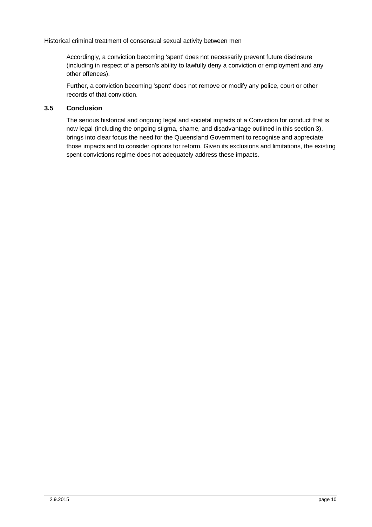Accordingly, a conviction becoming 'spent' does not necessarily prevent future disclosure (including in respect of a person's ability to lawfully deny a conviction or employment and any other offences).

Further, a conviction becoming 'spent' does not remove or modify any police, court or other records of that conviction.

## <span id="page-11-0"></span>**3.5 Conclusion**

The serious historical and ongoing legal and societal impacts of a Conviction for conduct that is now legal (including the ongoing stigma, shame, and disadvantage outlined in this section [3\)](#page-6-0), brings into clear focus the need for the Queensland Government to recognise and appreciate those impacts and to consider options for reform. Given its exclusions and limitations, the existing spent convictions regime does not adequately address these impacts.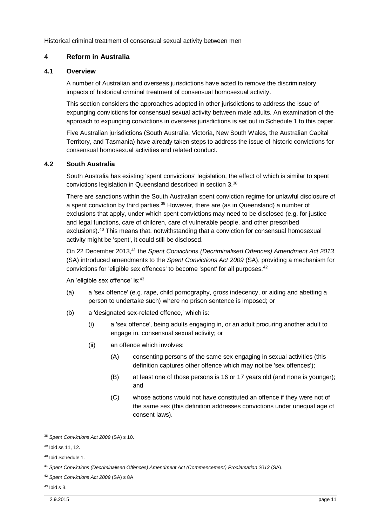## <span id="page-12-0"></span>**4 Reform in Australia**

#### <span id="page-12-1"></span>**4.1 Overview**

A number of Australian and overseas jurisdictions have acted to remove the discriminatory impacts of historical criminal treatment of consensual homosexual activity.

This section considers the approaches adopted in other jurisdictions to address the issue of expunging convictions for consensual sexual activity between male adults. An examination of the approach to expunging convictions in overseas jurisdictions is set out in Schedule 1 to this paper.

Five Australian jurisdictions (South Australia, Victoria, New South Wales, the Australian Capital Territory, and Tasmania) have already taken steps to address the issue of historic convictions for consensual homosexual activities and related conduct.

#### <span id="page-12-2"></span>**4.2 South Australia**

South Australia has existing 'spent convictions' legislation, the effect of which is similar to spent convictions legislation in Queensland described in section [3.](#page-6-0) 38

There are sanctions within the South Australian spent conviction regime for unlawful disclosure of a spent conviction by third parties.<sup>39</sup> However, there are (as in Queensland) a number of exclusions that apply, under which spent convictions may need to be disclosed (e.g. for justice and legal functions, care of children, care of vulnerable people, and other prescribed exclusions).<sup>40</sup> This means that, notwithstanding that a conviction for consensual homosexual activity might be 'spent', it could still be disclosed.

On 22 December 2013,<sup>41</sup> the *Spent Convictions (Decriminalised Offences) Amendment Act 2013* (SA) introduced amendments to the *Spent Convictions Act 2009* (SA), providing a mechanism for convictions for 'eligible sex offences' to become 'spent' for all purposes.<sup>42</sup>

An 'eligible sex offence' is: 43

- (a) a 'sex offence' (e.g. rape, child pornography, gross indecency, or aiding and abetting a person to undertake such) where no prison sentence is imposed; or
- (b) a 'designated sex-related offence,' which is:
	- (i) a 'sex offence', being adults engaging in, or an adult procuring another adult to engage in, consensual sexual activity; or
	- (ii) an offence which involves:
		- (A) consenting persons of the same sex engaging in sexual activities (this definition captures other offence which may not be 'sex offences');
		- (B) at least one of those persons is 16 or 17 years old (and none is younger); and
		- (C) whose actions would not have constituted an offence if they were not of the same sex (this definition addresses convictions under unequal age of consent laws).

<sup>38</sup> *Spent Convictions Act 2009* (SA) s 10.

<sup>39</sup> Ibid ss 11, 12.

<sup>40</sup> Ibid Schedule 1.

<sup>41</sup> *Spent Convictions (Decriminalised Offences) Amendment Act (Commencement) Proclamation 2013* (SA).

<sup>42</sup> *Spent Convictions Act 2009* (SA) s 8A.

 $43$  Ibid s 3.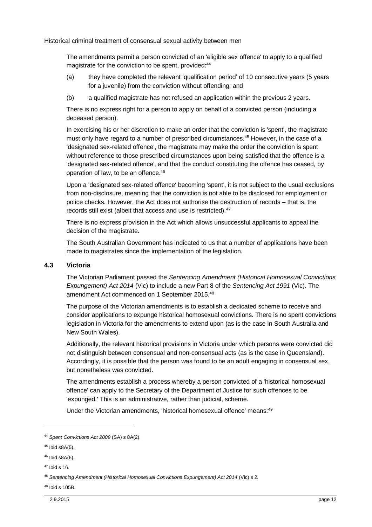The amendments permit a person convicted of an 'eligible sex offence' to apply to a qualified magistrate for the conviction to be spent, provided:<sup>44</sup>

- (a) they have completed the relevant 'qualification period' of 10 consecutive years (5 years for a juvenile) from the conviction without offending; and
- (b) a qualified magistrate has not refused an application within the previous 2 years.

There is no express right for a person to apply on behalf of a convicted person (including a deceased person).

In exercising his or her discretion to make an order that the conviction is 'spent', the magistrate must only have regard to a number of prescribed circumstances.<sup>45</sup> However, in the case of a 'designated sex-related offence', the magistrate may make the order the conviction is spent without reference to those prescribed circumstances upon being satisfied that the offence is a 'designated sex-related offence', and that the conduct constituting the offence has ceased, by operation of law, to be an offence.<sup>46</sup>

Upon a 'designated sex-related offence' becoming 'spent', it is not subject to the usual exclusions from non-disclosure, meaning that the conviction is not able to be disclosed for employment or police checks. However, the Act does not authorise the destruction of records – that is, the records still exist (albeit that access and use is restricted).<sup>47</sup>

There is no express provision in the Act which allows unsuccessful applicants to appeal the decision of the magistrate.

The South Australian Government has indicated to us that a number of applications have been made to magistrates since the implementation of the legislation.

#### <span id="page-13-0"></span>**4.3 Victoria**

The Victorian Parliament passed the *Sentencing Amendment (Historical Homosexual Convictions Expungement) Act 2014* (Vic) to include a new Part 8 of the *Sentencing Act 1991* (Vic). The amendment Act commenced on 1 September 2015.<sup>48</sup>

The purpose of the Victorian amendments is to establish a dedicated scheme to receive and consider applications to expunge historical homosexual convictions. There is no spent convictions legislation in Victoria for the amendments to extend upon (as is the case in South Australia and New South Wales).

Additionally, the relevant historical provisions in Victoria under which persons were convicted did not distinguish between consensual and non-consensual acts (as is the case in Queensland). Accordingly, it is possible that the person was found to be an adult engaging in consensual sex, but nonetheless was convicted.

The amendments establish a process whereby a person convicted of a 'historical homosexual offence' can apply to the Secretary of the Department of Justice for such offences to be 'expunged.' This is an administrative, rather than judicial, scheme.

Under the Victorian amendments, 'historical homosexual offence' means: <sup>49</sup>

l

<sup>49</sup> Ibid s 105B.

<sup>44</sup> *Spent Convictions Act 2009* (SA) s 8A(2).

 $45$  Ibid s8A(5).

<sup>46</sup> Ibid s8A(6).

 $47$  Ibid s 16.

<sup>48</sup> *Sentencing Amendment (Historical Homosexual Convictions Expungement) Act 2014* (Vic) s 2*.*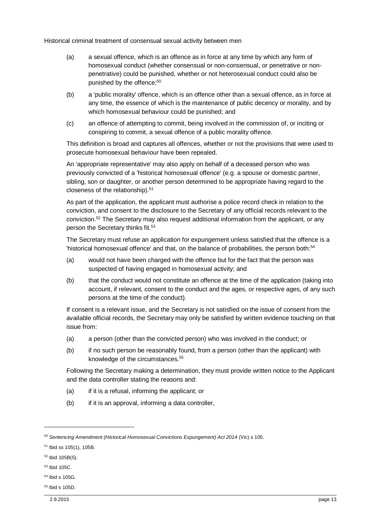- (a) a sexual offence, which is an offence as in force at any time by which any form of homosexual conduct (whether consensual or non-consensual, or penetrative or nonpenetrative) could be punished, whether or not heterosexual conduct could also be punished by the offence;<sup>50</sup>
- (b) a 'public morality' offence, which is an offence other than a sexual offence, as in force at any time, the essence of which is the maintenance of public decency or morality, and by which homosexual behaviour could be punished; and
- (c) an offence of attempting to commit, being involved in the commission of, or inciting or conspiring to commit, a sexual offence of a public morality offence.

This definition is broad and captures all offences, whether or not the provisions that were used to prosecute homosexual behaviour have been repealed.

An 'appropriate representative' may also apply on behalf of a deceased person who was previously convicted of a 'historical homosexual offence' (e.g. a spouse or domestic partner, sibling, son or daughter, or another person determined to be appropriate having regard to the closeness of the relationship).<sup>51</sup>

As part of the application, the applicant must authorise a police record check in relation to the conviction, and consent to the disclosure to the Secretary of any official records relevant to the conviction.<sup>52</sup> The Secretary may also request additional information from the applicant, or any person the Secretary thinks fit.<sup>53</sup>

The Secretary must refuse an application for expungement unless satisfied that the offence is a 'historical homosexual offence' and that, on the balance of probabilities, the person both:<sup>54</sup>

- (a) would not have been charged with the offence but for the fact that the person was suspected of having engaged in homosexual activity; and
- (b) that the conduct would not constitute an offence at the time of the application (taking into account, if relevant, consent to the conduct and the ages, or respective ages, of any such persons at the time of the conduct).

If consent is a relevant issue, and the Secretary is not satisfied on the issue of consent from the available official records, the Secretary may only be satisfied by written evidence touching on that issue from:

- (a) a person (other than the convicted person) who was involved in the conduct; or
- (b) if no such person be reasonably found, from a person (other than the applicant) with knowledge of the circumstances.<sup>55</sup>

Following the Secretary making a determination, they must provide written notice to the Applicant and the data controller stating the reasons and:

- (a) if it is a refusal, informing the applicant; or
- (b) if it is an approval, informing a data controller,

<sup>53</sup> Ibid 105C.

- $54$  Ibid s  $105G$ .
- <sup>55</sup> Ibid s 105D.

<sup>50</sup> *Sentencing Amendment (Historical Homosexual Convictions Expungement) Act 2014* (Vic) s 105.

<sup>51</sup> Ibid ss 105(1), 105B.

<sup>52</sup> Ibid 105B(5).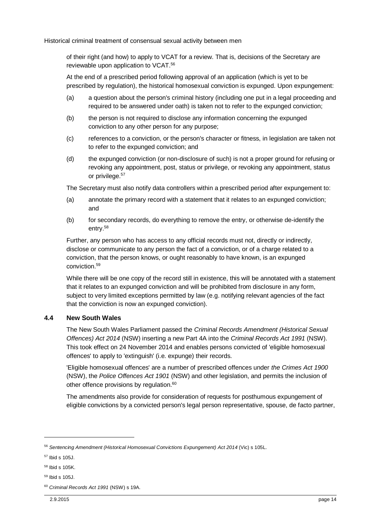of their right (and how) to apply to VCAT for a review. That is, decisions of the Secretary are reviewable upon application to VCAT.<sup>56</sup>

At the end of a prescribed period following approval of an application (which is yet to be prescribed by regulation), the historical homosexual conviction is expunged. Upon expungement:

- (a) a question about the person's criminal history (including one put in a legal proceeding and required to be answered under oath) is taken not to refer to the expunged conviction;
- (b) the person is not required to disclose any information concerning the expunged conviction to any other person for any purpose;
- (c) references to a conviction, or the person's character or fitness, in legislation are taken not to refer to the expunged conviction; and
- (d) the expunged conviction (or non-disclosure of such) is not a proper ground for refusing or revoking any appointment, post, status or privilege, or revoking any appointment, status or privilege.<sup>57</sup>

The Secretary must also notify data controllers within a prescribed period after expungement to:

- (a) annotate the primary record with a statement that it relates to an expunged conviction; and
- (b) for secondary records, do everything to remove the entry, or otherwise de-identify the entry.<sup>58</sup>

Further, any person who has access to any official records must not, directly or indirectly, disclose or communicate to any person the fact of a conviction, or of a charge related to a conviction, that the person knows, or ought reasonably to have known, is an expunged conviction<sup>59</sup>

While there will be one copy of the record still in existence, this will be annotated with a statement that it relates to an expunged conviction and will be prohibited from disclosure in any form, subject to very limited exceptions permitted by law (e.g. notifying relevant agencies of the fact that the conviction is now an expunged conviction).

#### <span id="page-15-0"></span>**4.4 New South Wales**

The New South Wales Parliament passed the *Criminal Records Amendment (Historical Sexual Offences) Act 2014* (NSW) inserting a new Part 4A into the *Criminal Records Act 1991* (NSW). This took effect on 24 November 2014 and enables persons convicted of 'eligible homosexual offences' to apply to 'extinguish' (i.e. expunge) their records.

'Eligible homosexual offences' are a number of prescribed offences under *the Crimes Act 1900* (NSW), the *Police Offences Act 1901* (NSW) and other legislation, and permits the inclusion of other offence provisions by regulation.<sup>60</sup>

The amendments also provide for consideration of requests for posthumous expungement of eligible convictions by a convicted person's legal person representative, spouse, de facto partner,

<sup>56</sup> *Sentencing Amendment (Historical Homosexual Convictions Expungement) Act 2014* (Vic) s 105L.

<sup>57</sup> Ibid s 105J.

<sup>58</sup> Ibid s 105K.

<sup>59</sup> Ibid s 105J.

<sup>60</sup> *Criminal Records Act 1991* (NSW) s 19A.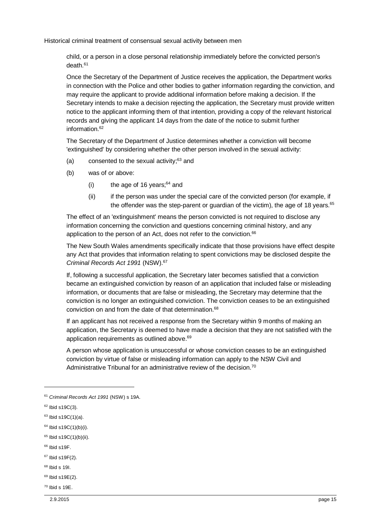child, or a person in a close personal relationship immediately before the convicted person's death.<sup>61</sup>

Once the Secretary of the Department of Justice receives the application, the Department works in connection with the Police and other bodies to gather information regarding the conviction, and may require the applicant to provide additional information before making a decision. If the Secretary intends to make a decision rejecting the application, the Secretary must provide written notice to the applicant informing them of that intention, providing a copy of the relevant historical records and giving the applicant 14 days from the date of the notice to submit further information $62$ 

The Secretary of the Department of Justice determines whether a conviction will become 'extinguished' by considering whether the other person involved in the sexual activity:

- (a) consented to the sexual activity; $63$  and
- (b) was of or above:
	- (i) the age of 16 years: $64$  and
	- (ii) if the person was under the special care of the convicted person (for example, if the offender was the step-parent or quardian of the victim), the age of 18 years.<sup>65</sup>

The effect of an 'extinguishment' means the person convicted is not required to disclose any information concerning the conviction and questions concerning criminal history, and any application to the person of an Act, does not refer to the conviction.<sup>66</sup>

The New South Wales amendments specifically indicate that those provisions have effect despite any Act that provides that information relating to spent convictions may be disclosed despite the *Criminal Records Act 1991* (NSW).<sup>67</sup>

If, following a successful application, the Secretary later becomes satisfied that a conviction became an extinguished conviction by reason of an application that included false or misleading information, or documents that are false or misleading, the Secretary may determine that the conviction is no longer an extinguished conviction. The conviction ceases to be an extinguished conviction on and from the date of that determination.<sup>68</sup>

If an applicant has not received a response from the Secretary within 9 months of making an application, the Secretary is deemed to have made a decision that they are not satisfied with the application requirements as outlined above.<sup>69</sup>

A person whose application is unsuccessful or whose conviction ceases to be an extinguished conviction by virtue of false or misleading information can apply to the NSW Civil and Administrative Tribunal for an administrative review of the decision.<sup>70</sup>

l

 $66$  Ibid s19F.

<sup>68</sup> Ibid s 19I.

 $70$  Ibid s 19E.

<sup>61</sup> *Criminal Records Act 1991* (NSW) s 19A.

 $62$  Ibid s19C(3).

 $63$  Ibid s19C(1)(a).

 $64$  Ibid s19C(1)(b)(i).

 $65$  Ibid s19C(1)(b)(ii).

<sup>67</sup> Ibid s19F(2).

<sup>69</sup> Ibid s19E(2).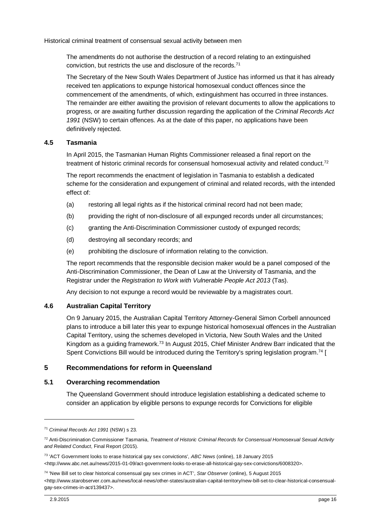The amendments do not authorise the destruction of a record relating to an extinguished conviction, but restricts the use and disclosure of the records.<sup>71</sup>

The Secretary of the New South Wales Department of Justice has informed us that it has already received ten applications to expunge historical homosexual conduct offences since the commencement of the amendments, of which, extinguishment has occurred in three instances. The remainder are either awaiting the provision of relevant documents to allow the applications to progress, or are awaiting further discussion regarding the application of the *Criminal Records Act 1991* (NSW) to certain offences. As at the date of this paper, no applications have been definitively rejected.

#### <span id="page-17-0"></span>**4.5 Tasmania**

In April 2015, the Tasmanian Human Rights Commissioner released a final report on the treatment of historic criminal records for consensual homosexual activity and related conduct.<sup>72</sup>

The report recommends the enactment of legislation in Tasmania to establish a dedicated scheme for the consideration and expungement of criminal and related records, with the intended effect of:

- (a) restoring all legal rights as if the historical criminal record had not been made;
- (b) providing the right of non-disclosure of all expunged records under all circumstances;
- (c) granting the Anti-Discrimination Commissioner custody of expunged records;
- (d) destroying all secondary records; and
- (e) prohibiting the disclosure of information relating to the conviction.

The report recommends that the responsible decision maker would be a panel composed of the Anti-Discrimination Commissioner, the Dean of Law at the University of Tasmania, and the Registrar under the *Registration to Work with Vulnerable People Act 2013* (Tas).

Any decision to not expunge a record would be reviewable by a magistrates court.

## <span id="page-17-1"></span>**4.6 Australian Capital Territory**

On 9 January 2015, the Australian Capital Territory Attorney-General Simon Corbell announced plans to introduce a bill later this year to expunge historical homosexual offences in the Australian Capital Territory, using the schemes developed in Victoria, New South Wales and the United Kingdom as a guiding framework.<sup>73</sup> In August 2015, Chief Minister Andrew Barr indicated that the Spent Convictions Bill would be introduced during the Territory's spring legislation program.<sup>74</sup> [

## <span id="page-17-2"></span>**5 Recommendations for reform in Queensland**

## <span id="page-17-3"></span>**5.1 Overarching recommendation**

The Queensland Government should introduce legislation establishing a dedicated scheme to consider an application by eligible persons to expunge records for Convictions for eligible

 $\overline{a}$ 

<sup>71</sup> *Criminal Records Act 1991* (NSW) s 23.

<sup>72</sup> Anti-Discrimination Commissioner Tasmania, *Treatment of Historic Criminal Records for Consensual Homosexual Sexual Activity and Related Conduct*, Final Report (2015).

<sup>73</sup> 'ACT Government looks to erase historical gay sex convictions', *ABC News* (online), 18 January 2015 <http://www.abc.net.au/news/2015-01-09/act-government-looks-to-erase-all-historical-gay-sex-convictions/6008320>.

<sup>74</sup> 'New Bill set to clear historical consensual gay sex crimes in ACT', *Star Observer* (online), 5 August 2015 <http://www.starobserver.com.au/news/local-news/other-states/australian-capital-territory/new-bill-set-to-clear-historical-consensualgay-sex-crimes-in-act/139437>.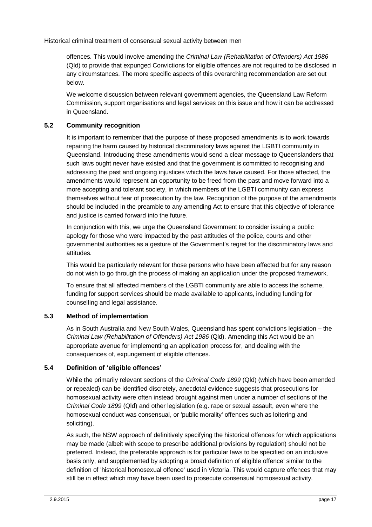offences. This would involve amending the *Criminal Law (Rehabilitation of Offenders) Act 1986* (Qld) to provide that expunged Convictions for eligible offences are not required to be disclosed in any circumstances. The more specific aspects of this overarching recommendation are set out below.

We welcome discussion between relevant government agencies, the Queensland Law Reform Commission, support organisations and legal services on this issue and how it can be addressed in Queensland.

## <span id="page-18-0"></span>**5.2 Community recognition**

It is important to remember that the purpose of these proposed amendments is to work towards repairing the harm caused by historical discriminatory laws against the LGBTI community in Queensland. Introducing these amendments would send a clear message to Queenslanders that such laws ought never have existed and that the government is committed to recognising and addressing the past and ongoing injustices which the laws have caused. For those affected, the amendments would represent an opportunity to be freed from the past and move forward into a more accepting and tolerant society, in which members of the LGBTI community can express themselves without fear of prosecution by the law. Recognition of the purpose of the amendments should be included in the preamble to any amending Act to ensure that this objective of tolerance and justice is carried forward into the future.

In conjunction with this, we urge the Queensland Government to consider issuing a public apology for those who were impacted by the past attitudes of the police, courts and other governmental authorities as a gesture of the Government's regret for the discriminatory laws and attitudes.

This would be particularly relevant for those persons who have been affected but for any reason do not wish to go through the process of making an application under the proposed framework.

To ensure that all affected members of the LGBTI community are able to access the scheme, funding for support services should be made available to applicants, including funding for counselling and legal assistance.

## <span id="page-18-1"></span>**5.3 Method of implementation**

As in South Australia and New South Wales, Queensland has spent convictions legislation – the *Criminal Law (Rehabilitation of Offenders) Act 1986* (Qld). Amending this Act would be an appropriate avenue for implementing an application process for, and dealing with the consequences of, expungement of eligible offences.

## <span id="page-18-2"></span>**5.4 Definition of 'eligible offences'**

While the primarily relevant sections of the *Criminal Code 1899* (Qld) (which have been amended or repealed) can be identified discretely, anecdotal evidence suggests that prosecutions for homosexual activity were often instead brought against men under a number of sections of the *Criminal Code 1899* (Qld) and other legislation (e.g. rape or sexual assault, even where the homosexual conduct was consensual, or 'public morality' offences such as loitering and soliciting).

As such, the NSW approach of definitively specifying the historical offences for which applications may be made (albeit with scope to prescribe additional provisions by regulation) should not be preferred. Instead, the preferable approach is for particular laws to be specified on an inclusive basis only, and supplemented by adopting a broad definition of eligible offence' similar to the definition of 'historical homosexual offence' used in Victoria. This would capture offences that may still be in effect which may have been used to prosecute consensual homosexual activity.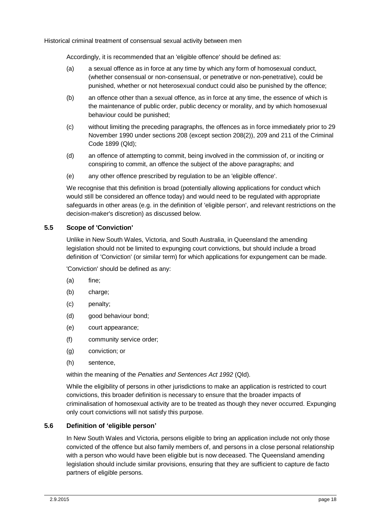Accordingly, it is recommended that an 'eligible offence' should be defined as:

- (a) a sexual offence as in force at any time by which any form of homosexual conduct, (whether consensual or non-consensual, or penetrative or non-penetrative), could be punished, whether or not heterosexual conduct could also be punished by the offence;
- (b) an offence other than a sexual offence, as in force at any time, the essence of which is the maintenance of public order, public decency or morality, and by which homosexual behaviour could be punished;
- (c) without limiting the preceding paragraphs, the offences as in force immediately prior to 29 November 1990 under sections 208 (except section 208(2)), 209 and 211 of the Criminal Code 1899 (Qld);
- (d) an offence of attempting to commit, being involved in the commission of, or inciting or conspiring to commit, an offence the subject of the above paragraphs; and
- (e) any other offence prescribed by regulation to be an 'eligible offence'.

We recognise that this definition is broad (potentially allowing applications for conduct which would still be considered an offence today) and would need to be regulated with appropriate safeguards in other areas (e.g. in the definition of 'eligible person', and relevant restrictions on the decision-maker's discretion) as discussed below.

## <span id="page-19-0"></span>**5.5 Scope of 'Conviction'**

Unlike in New South Wales, Victoria, and South Australia, in Queensland the amending legislation should not be limited to expunging court convictions, but should include a broad definition of 'Conviction' (or similar term) for which applications for expungement can be made.

'Conviction' should be defined as any:

- (a) fine;
- (b) charge;
- (c) penalty;
- (d) good behaviour bond;
- (e) court appearance;
- (f) community service order;
- (g) conviction; or
- (h) sentence,

within the meaning of the *Penalties and Sentences Act 1992* (Qld).

While the eligibility of persons in other jurisdictions to make an application is restricted to court convictions, this broader definition is necessary to ensure that the broader impacts of criminalisation of homosexual activity are to be treated as though they never occurred. Expunging only court convictions will not satisfy this purpose.

## <span id="page-19-1"></span>**5.6 Definition of 'eligible person'**

In New South Wales and Victoria, persons eligible to bring an application include not only those convicted of the offence but also family members of, and persons in a close personal relationship with a person who would have been eligible but is now deceased. The Queensland amending legislation should include similar provisions, ensuring that they are sufficient to capture de facto partners of eligible persons.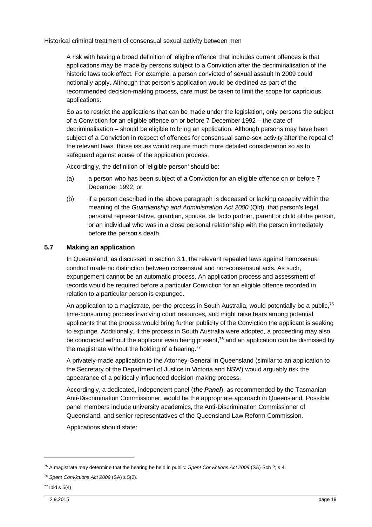A risk with having a broad definition of 'eligible offence' that includes current offences is that applications may be made by persons subject to a Conviction after the decriminalisation of the historic laws took effect. For example, a person convicted of sexual assault in 2009 could notionally apply. Although that person's application would be declined as part of the recommended decision-making process, care must be taken to limit the scope for capricious applications.

So as to restrict the applications that can be made under the legislation, only persons the subject of a Conviction for an eligible offence on or before 7 December 1992 – the date of decriminalisation – should be eligible to bring an application. Although persons may have been subject of a Conviction in respect of offences for consensual same-sex activity after the repeal of the relevant laws, those issues would require much more detailed consideration so as to safeguard against abuse of the application process.

Accordingly, the definition of 'eligible person' should be:

- (a) a person who has been subject of a Conviction for an eligible offence on or before 7 December 1992; or
- (b) if a person described in the above paragraph is deceased or lacking capacity within the meaning of the *Guardianship and Administration Act 2000* (Qld), that person's legal personal representative, guardian, spouse, de facto partner, parent or child of the person, or an individual who was in a close personal relationship with the person immediately before the person's death.

## <span id="page-20-0"></span>**5.7 Making an application**

In Queensland, as discussed in section [3.1,](#page-6-1) the relevant repealed laws against homosexual conduct made no distinction between consensual and non-consensual acts. As such, expungement cannot be an automatic process. An application process and assessment of records would be required before a particular Conviction for an eligible offence recorded in relation to a particular person is expunged.

An application to a magistrate, per the process in South Australia, would potentially be a public,<sup>75</sup> time-consuming process involving court resources, and might raise fears among potential applicants that the process would bring further publicity of the Conviction the applicant is seeking to expunge. Additionally, if the process in South Australia were adopted, a proceeding may also be conducted without the applicant even being present,<sup>76</sup> and an application can be dismissed by the magistrate without the holding of a hearing. $77$ 

A privately-made application to the Attorney-General in Queensland (similar to an application to the Secretary of the Department of Justice in Victoria and NSW) would arguably risk the appearance of a politically influenced decision-making process.

Accordingly, a dedicated, independent panel (*the Panel*), as recommended by the Tasmanian Anti-Discrimination Commissioner, would be the appropriate approach in Queensland. Possible panel members include university academics, the Anti-Discrimination Commissioner of Queensland, and senior representatives of the Queensland Law Reform Commission.

Applications should state:

<sup>75</sup> A magistrate may determine that the hearing be held in public: *Spent Convictions Act 2009* (SA) Sch 2; s 4.

<sup>76</sup> *Spent Convictions Act 2009* (SA) s 5(2).

 $77$  Ibid s  $5(4)$ .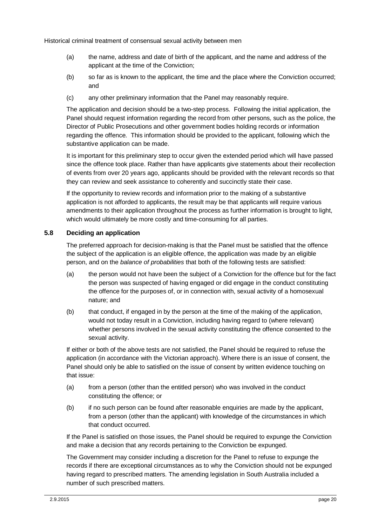- (a) the name, address and date of birth of the applicant, and the name and address of the applicant at the time of the Conviction;
- (b) so far as is known to the applicant, the time and the place where the Conviction occurred; and
- (c) any other preliminary information that the Panel may reasonably require.

The application and decision should be a two-step process. Following the initial application, the Panel should request information regarding the record from other persons, such as the police, the Director of Public Prosecutions and other government bodies holding records or information regarding the offence. This information should be provided to the applicant, following which the substantive application can be made.

It is important for this preliminary step to occur given the extended period which will have passed since the offence took place. Rather than have applicants give statements about their recollection of events from over 20 years ago, applicants should be provided with the relevant records so that they can review and seek assistance to coherently and succinctly state their case.

If the opportunity to review records and information prior to the making of a substantive application is not afforded to applicants, the result may be that applicants will require various amendments to their application throughout the process as further information is brought to light, which would ultimately be more costly and time-consuming for all parties.

## <span id="page-21-0"></span>**5.8 Deciding an application**

The preferred approach for decision-making is that the Panel must be satisfied that the offence the subject of the application is an eligible offence, the application was made by an eligible person, and on the *balance of probabilities* that both of the following tests are satisfied:

- (a) the person would not have been the subject of a Conviction for the offence but for the fact the person was suspected of having engaged or did engage in the conduct constituting the offence for the purposes of, or in connection with, sexual activity of a homosexual nature; and
- (b) that conduct, if engaged in by the person at the time of the making of the application, would not today result in a Conviction, including having regard to (where relevant) whether persons involved in the sexual activity constituting the offence consented to the sexual activity.

If either or both of the above tests are not satisfied, the Panel should be required to refuse the application (in accordance with the Victorian approach). Where there is an issue of consent, the Panel should only be able to satisfied on the issue of consent by written evidence touching on that issue:

- (a) from a person (other than the entitled person) who was involved in the conduct constituting the offence; or
- (b) if no such person can be found after reasonable enquiries are made by the applicant, from a person (other than the applicant) with knowledge of the circumstances in which that conduct occurred.

If the Panel is satisfied on those issues, the Panel should be required to expunge the Conviction and make a decision that any records pertaining to the Conviction be expunged.

The Government may consider including a discretion for the Panel to refuse to expunge the records if there are exceptional circumstances as to why the Conviction should not be expunged having regard to prescribed matters. The amending legislation in South Australia included a number of such prescribed matters.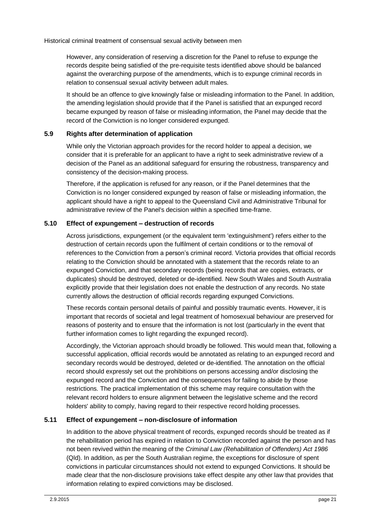However, any consideration of reserving a discretion for the Panel to refuse to expunge the records despite being satisfied of the pre-requisite tests identified above should be balanced against the overarching purpose of the amendments, which is to expunge criminal records in relation to consensual sexual activity between adult males.

It should be an offence to give knowingly false or misleading information to the Panel. In addition, the amending legislation should provide that if the Panel is satisfied that an expunged record became expunged by reason of false or misleading information, the Panel may decide that the record of the Conviction is no longer considered expunged.

## <span id="page-22-0"></span>**5.9 Rights after determination of application**

While only the Victorian approach provides for the record holder to appeal a decision, we consider that it is preferable for an applicant to have a right to seek administrative review of a decision of the Panel as an additional safeguard for ensuring the robustness, transparency and consistency of the decision-making process.

Therefore, if the application is refused for any reason, or if the Panel determines that the Conviction is no longer considered expunged by reason of false or misleading information, the applicant should have a right to appeal to the Queensland Civil and Administrative Tribunal for administrative review of the Panel's decision within a specified time-frame.

## <span id="page-22-1"></span>**5.10 Effect of expungement – destruction of records**

Across jurisdictions, expungement (or the equivalent term 'extinguishment') refers either to the destruction of certain records upon the fulfilment of certain conditions or to the removal of references to the Conviction from a person's criminal record. Victoria provides that official records relating to the Conviction should be annotated with a statement that the records relate to an expunged Conviction, and that secondary records (being records that are copies, extracts, or duplicates) should be destroyed, deleted or de-identified. New South Wales and South Australia explicitly provide that their legislation does not enable the destruction of any records. No state currently allows the destruction of official records regarding expunged Convictions.

These records contain personal details of painful and possibly traumatic events. However, it is important that records of societal and legal treatment of homosexual behaviour are preserved for reasons of posterity and to ensure that the information is not lost (particularly in the event that further information comes to light regarding the expunged record).

Accordingly, the Victorian approach should broadly be followed. This would mean that, following a successful application, official records would be annotated as relating to an expunged record and secondary records would be destroyed, deleted or de-identified. The annotation on the official record should expressly set out the prohibitions on persons accessing and/or disclosing the expunged record and the Conviction and the consequences for failing to abide by those restrictions. The practical implementation of this scheme may require consultation with the relevant record holders to ensure alignment between the legislative scheme and the record holders' ability to comply, having regard to their respective record holding processes.

## <span id="page-22-2"></span>**5.11 Effect of expungement – non-disclosure of information**

In addition to the above physical treatment of records, expunged records should be treated as if the rehabilitation period has expired in relation to Conviction recorded against the person and has not been revived within the meaning of the *Criminal Law (Rehabilitation of Offenders) Act 1986*  (Qld). In addition, as per the South Australian regime, the exceptions for disclosure of spent convictions in particular circumstances should not extend to expunged Convictions. It should be made clear that the non-disclosure provisions take effect despite any other law that provides that information relating to expired convictions may be disclosed.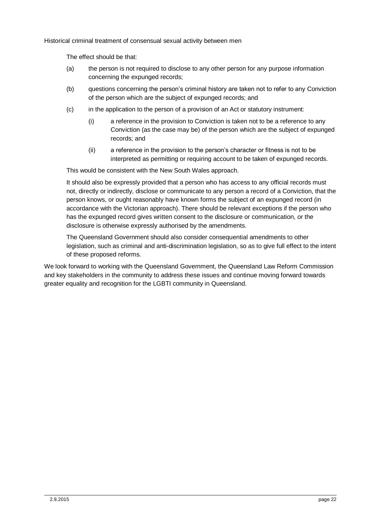The effect should be that:

- (a) the person is not required to disclose to any other person for any purpose information concerning the expunged records;
- (b) questions concerning the person's criminal history are taken not to refer to any Conviction of the person which are the subject of expunged records; and
- (c) in the application to the person of a provision of an Act or statutory instrument:
	- (i) a reference in the provision to Conviction is taken not to be a reference to any Conviction (as the case may be) of the person which are the subject of expunged records; and
	- (ii) a reference in the provision to the person's character or fitness is not to be interpreted as permitting or requiring account to be taken of expunged records.

This would be consistent with the New South Wales approach.

It should also be expressly provided that a person who has access to any official records must not, directly or indirectly, disclose or communicate to any person a record of a Conviction, that the person knows, or ought reasonably have known forms the subject of an expunged record (in accordance with the Victorian approach). There should be relevant exceptions if the person who has the expunged record gives written consent to the disclosure or communication, or the disclosure is otherwise expressly authorised by the amendments.

The Queensland Government should also consider consequential amendments to other legislation, such as criminal and anti-discrimination legislation, so as to give full effect to the intent of these proposed reforms.

We look forward to working with the Queensland Government, the Queensland Law Reform Commission and key stakeholders in the community to address these issues and continue moving forward towards greater equality and recognition for the LGBTI community in Queensland.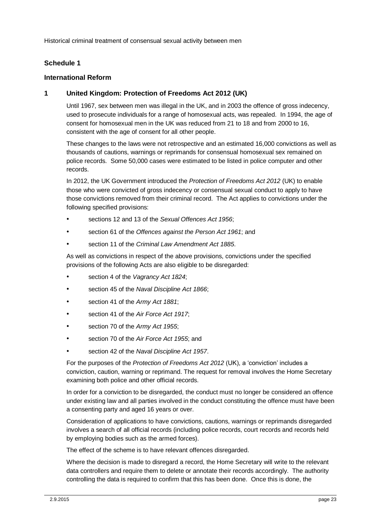## <span id="page-24-0"></span>**Schedule 1**

## <span id="page-24-1"></span>**International Reform**

## **1 United Kingdom: Protection of Freedoms Act 2012 (UK)**

Until 1967, sex between men was illegal in the UK, and in 2003 the offence of gross indecency, used to prosecute individuals for a range of homosexual acts, was repealed. In 1994, the age of consent for homosexual men in the UK was reduced from 21 to 18 and from 2000 to 16, consistent with the age of consent for all other people.

These changes to the laws were not retrospective and an estimated 16,000 convictions as well as thousands of cautions, warnings or reprimands for consensual homosexual sex remained on police records. Some 50,000 cases were estimated to be listed in police computer and other records.

In 2012, the UK Government introduced the *Protection of Freedoms Act 2012* (UK) to enable those who were convicted of gross indecency or consensual sexual conduct to apply to have those convictions removed from their criminal record. The Act applies to convictions under the following specified provisions:

- sections 12 and 13 of the *Sexual Offences Act 1956*;
- section 61 of the *Offences against the Person Act 1961*; and
- section 11 of the *Criminal Law Amendment Act 1885*.

As well as convictions in respect of the above provisions, convictions under the specified provisions of the following Acts are also eligible to be disregarded:

- section 4 of the *Vagrancy Act 1824*;
- section 45 of the *Naval Discipline Act 1866*;
- section 41 of the *Army Act 1881*;
- section 41 of the *Air Force Act 1917*;
- section 70 of the *Army Act 1955*;
- section 70 of the *Air Force Act 1955*; and
- section 42 of the *Naval Discipline Act 1957*.

For the purposes of the *Protection of Freedoms Act 2012* (UK), a 'conviction' includes a conviction, caution, warning or reprimand. The request for removal involves the Home Secretary examining both police and other official records.

In order for a conviction to be disregarded, the conduct must no longer be considered an offence under existing law and all parties involved in the conduct constituting the offence must have been a consenting party and aged 16 years or over.

Consideration of applications to have convictions, cautions, warnings or reprimands disregarded involves a search of all official records (including police records, court records and records held by employing bodies such as the armed forces).

The effect of the scheme is to have relevant offences disregarded.

Where the decision is made to disregard a record, the Home Secretary will write to the relevant data controllers and require them to delete or annotate their records accordingly. The authority controlling the data is required to confirm that this has been done. Once this is done, the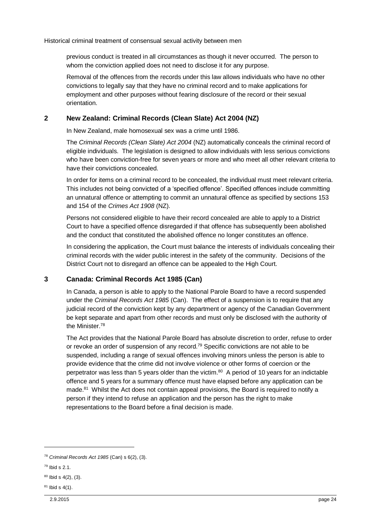previous conduct is treated in all circumstances as though it never occurred. The person to whom the conviction applied does not need to disclose it for any purpose.

Removal of the offences from the records under this law allows individuals who have no other convictions to legally say that they have no criminal record and to make applications for employment and other purposes without fearing disclosure of the record or their sexual orientation.

## **2 New Zealand: Criminal Records (Clean Slate) Act 2004 (NZ)**

In New Zealand, male homosexual sex was a crime until 1986.

The *Criminal Records (Clean Slate) Act 2004* (NZ) automatically conceals the criminal record of eligible individuals. The legislation is designed to allow individuals with less serious convictions who have been conviction-free for seven years or more and who meet all other relevant criteria to have their convictions concealed.

In order for items on a criminal record to be concealed, the individual must meet relevant criteria. This includes not being convicted of a 'specified offence'. Specified offences include committing an unnatural offence or attempting to commit an unnatural offence as specified by sections 153 and 154 of the *Crimes Act 1908* (NZ).

Persons not considered eligible to have their record concealed are able to apply to a District Court to have a specified offence disregarded if that offence has subsequently been abolished and the conduct that constituted the abolished offence no longer constitutes an offence.

In considering the application, the Court must balance the interests of individuals concealing their criminal records with the wider public interest in the safety of the community. Decisions of the District Court not to disregard an offence can be appealed to the High Court.

## **3 Canada: Criminal Records Act 1985 (Can)**

In Canada, a person is able to apply to the National Parole Board to have a record suspended under the *Criminal Records Act 1985* (Can). The effect of a suspension is to require that any judicial record of the conviction kept by any department or agency of the Canadian Government be kept separate and apart from other records and must only be disclosed with the authority of the Minister.<sup>78</sup>

The Act provides that the National Parole Board has absolute discretion to order, refuse to order or revoke an order of suspension of any record.<sup>79</sup> Specific convictions are not able to be suspended, including a range of sexual offences involving minors unless the person is able to provide evidence that the crime did not involve violence or other forms of coercion or the perpetrator was less than 5 years older than the victim.<sup>80</sup> A period of 10 years for an indictable offence and 5 years for a summary offence must have elapsed before any application can be made.<sup>81</sup> Whilst the Act does not contain appeal provisions, the Board is required to notify a person if they intend to refuse an application and the person has the right to make representations to the Board before a final decision is made.

1

<sup>78</sup> *Criminal Records Act 1985* (Can) s 6(2), (3).

<sup>79</sup> Ibid s 2.1.

 $80$  Ibid s  $4(2)$ ,  $(3)$ .

 $81$  Ibid s 4(1).